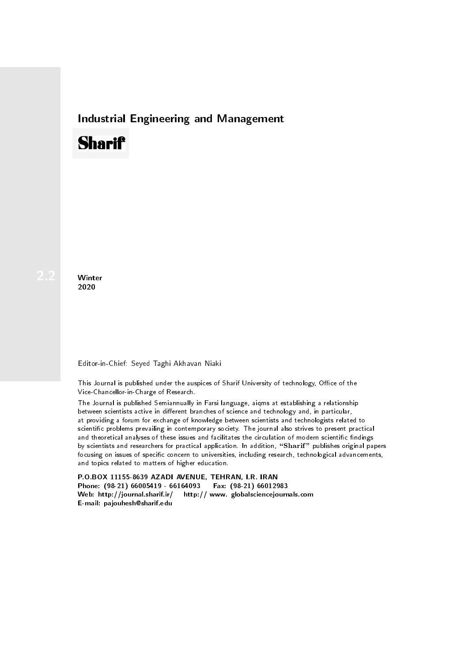## Industrial Engineering and Management

# **Sharif**

**Winter** 2020

## Editor-in-Chief: Seyed Taghi Akhavan Niaki

This Journal is published under the auspices of Sharif University of technology, Office of the Vice-Chancellor-in-Charge of Research.

The Journal is published Semiannually in Farsi language, aiqms at establishing a relationship between scientists active in different branches of science and technology and, in particular, at providing a forum for exchange of knowledge between scientists and technologists related to scientic problems prevailing in contemporary society. The journal also strives to present practical and theoretical analyses of these issues and facilitates the circulation of modern scientific findings by scientists and researchers for practical application. In addition, "Sharif" publishes original papers focusing on issues of specific concern to universities, including research, technological advancements, and topics related to matters of higher education.

P.O.BOX 11155-8639 AZADI AVENUE, TEHRAN, I.R. IRAN Phone: (98-21) 66005419 - 66164093 Fax: (98-21) 66012983 Web: http://journal.sharif.ir/ http:// www. globalsciencejournals.com E-mail: pajouhesh@sharif.edu